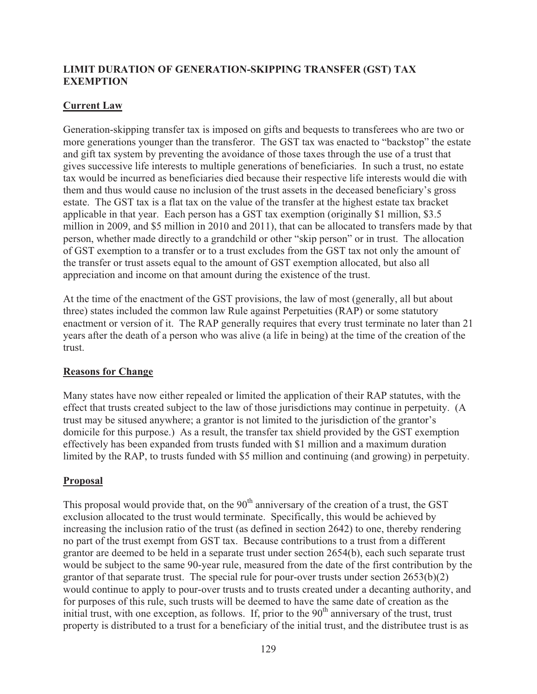## **LIMIT DURATION OF GENERATION-SKIPPING TRANSFER (GST) TAX EXEMPTION**

## **Current Law**

Generation-skipping transfer tax is imposed on gifts and bequests to transferees who are two or more generations younger than the transferor. The GST tax was enacted to "backstop" the estate and gift tax system by preventing the avoidance of those taxes through the use of a trust that gives successive life interests to multiple generations of beneficiaries. In such a trust, no estate tax would be incurred as beneficiaries died because their respective life interests would die with them and thus would cause no inclusion of the trust assets in the deceased beneficiary's gross estate. The GST tax is a flat tax on the value of the transfer at the highest estate tax bracket applicable in that year. Each person has a GST tax exemption (originally \$1 million, \$3.5 million in 2009, and \$5 million in 2010 and 2011), that can be allocated to transfers made by that person, whether made directly to a grandchild or other "skip person" or in trust. The allocation of GST exemption to a transfer or to a trust excludes from the GST tax not only the amount of the transfer or trust assets equal to the amount of GST exemption allocated, but also all appreciation and income on that amount during the existence of the trust.

At the time of the enactment of the GST provisions, the law of most (generally, all but about three) states included the common law Rule against Perpetuities (RAP) or some statutory enactment or version of it. The RAP generally requires that every trust terminate no later than 21 years after the death of a person who was alive (a life in being) at the time of the creation of the trust.

## **Reasons for Change**

Many states have now either repealed or limited the application of their RAP statutes, with the effect that trusts created subject to the law of those jurisdictions may continue in perpetuity. (A trust may be sitused anywhere; a grantor is not limited to the jurisdiction of the grantor's domicile for this purpose.) As a result, the transfer tax shield provided by the GST exemption effectively has been expanded from trusts funded with \$1 million and a maximum duration limited by the RAP, to trusts funded with \$5 million and continuing (and growing) in perpetuity.

## **Proposal**

This proposal would provide that, on the  $90<sup>th</sup>$  anniversary of the creation of a trust, the GST exclusion allocated to the trust would terminate. Specifically, this would be achieved by increasing the inclusion ratio of the trust (as defined in section 2642) to one, thereby rendering no part of the trust exempt from GST tax. Because contributions to a trust from a different grantor are deemed to be held in a separate trust under section 2654(b), each such separate trust would be subject to the same 90-year rule, measured from the date of the first contribution by the grantor of that separate trust. The special rule for pour-over trusts under section 2653(b)(2) would continue to apply to pour-over trusts and to trusts created under a decanting authority, and for purposes of this rule, such trusts will be deemed to have the same date of creation as the initial trust, with one exception, as follows. If, prior to the  $90<sup>th</sup>$  anniversary of the trust, trust property is distributed to a trust for a beneficiary of the initial trust, and the distributee trust is as